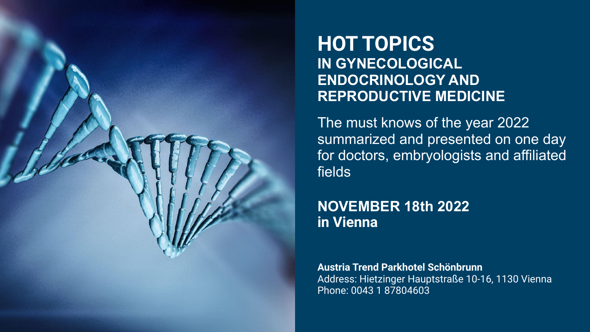

## **HOT TOPICS IN GYNECOLOGICAL ENDOCRINOLOGY AND REPRODUCTIVE MEDICINE**

The must knows of the year 2022 summarized and presented on one day for doctors, embryologists and affiliated fields

**NOVEMBER 18th 2022 in Vienna**

**Austria Trend Parkhotel Schönbrunn** Address: Hietzinger Hauptstraße 10-16, 1130 Vienna Phone: 0043 1 87804603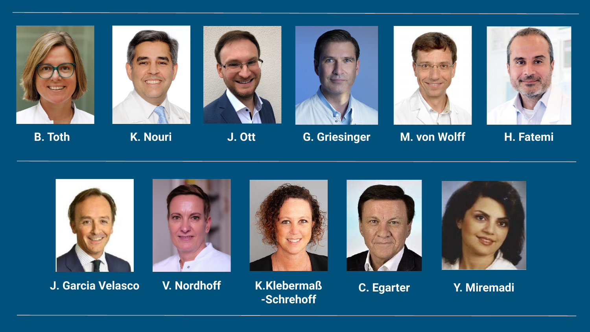









**B. Toth K. Nouri J. Ott G. Griesinger M. von Wolff H. Fatemi**





**J. Garcia Velasco V. Nordhoff K.Klebermaß**













**C. Egarter Y. Miremadi**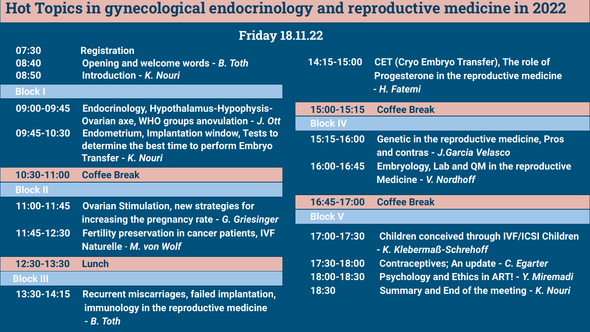## **Hot Topics in gynecological endocrinology and reproductive medicine in 2022**

### **Friday 18.11.22**

| 07:30<br>08:40<br>08:50 | <b>Registration</b><br>Opening and welcome words - B. Toth<br><b>Introduction - K. Nouri</b>                          |
|-------------------------|-----------------------------------------------------------------------------------------------------------------------|
| <b>Block I</b>          |                                                                                                                       |
| 09:00-09:45             | <b>Endocrinology, Hypothalamus-Hypophysis-</b><br>Ovarian axe, WHO groups anovulation - J. Ott                        |
| 09:45-10:30             | <b>Endometrium, Implantation window, Tests to</b><br>determine the best time to perform Embryo<br>Transfer - K. Nouri |
| 10:30-11:00             | <b>Coffee Break</b>                                                                                                   |
| <b>Block II</b>         |                                                                                                                       |
| 11:00-11:45             | <b>Ovarian Stimulation, new strategies for</b><br>increasing the pregnancy rate - G. Griesinger                       |
| 11:45-12:30             | <b>Fertility preservation in cancer patients, IVF</b><br>Naturelle - M. von Wolf                                      |
| 12:30-13:30             | <b>Lunch</b>                                                                                                          |
| <b>Block III</b>        |                                                                                                                       |
| 13:30-14:15             | <b>Recurrent miscarriages, failed implantation,</b><br>immunology in the reproductive medicine<br>- B. Toth           |

| 14:15-15:00     | <b>CET (Cryo Embryo Transfer), The role of</b><br>Progesterone in the reproductive medicine<br>- H. Fatemi |
|-----------------|------------------------------------------------------------------------------------------------------------|
| 15:00-15:15     | <b>Coffee Break</b>                                                                                        |
| <b>Block IV</b> |                                                                                                            |
| 15:15-16:00     | <b>Genetic in the reproductive medicine, Pros</b><br>and contras - J.Garcia Velasco                        |
| 16:00-16:45     | <b>Embryology, Lab and QM in the reproductive</b><br><b>Medicine - V. Nordhoff</b>                         |
| 16:45-17:00     | <b>Coffee Break</b>                                                                                        |
| <b>Block V</b>  |                                                                                                            |
| 17:00-17:30     | <b>Children conceived through IVF/ICSI Children</b><br>- K. Klebermaß-Schrehoff                            |
| 17:30-18:00     | Contraceptives; An update - C. Egarter                                                                     |
| 18:00-18:30     | <b>Psychology and Ethics in ART! - Y. Miremadi</b>                                                         |
| 18:30           | <b>Summary and End of the meeting - K. Nouri</b>                                                           |